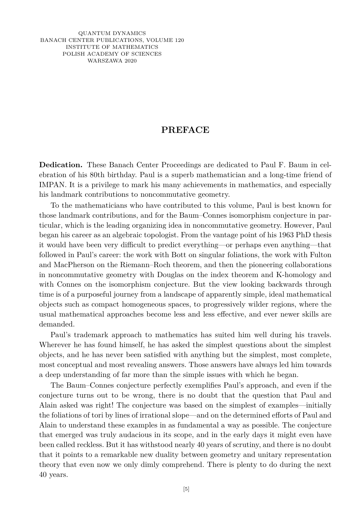QUANTUM DYNAMICS BANACH CENTER PUBLICATIONS, VOLUME 120 INSTITUTE OF MATHEMATICS POLISH ACADEMY OF SCIENCES WARSZAWA 2020

## **PREFACE**

**Dedication.** These Banach Center Proceedings are dedicated to Paul F. Baum in celebration of his 80th birthday. Paul is a superb mathematician and a long-time friend of IMPAN. It is a privilege to mark his many achievements in mathematics, and especially his landmark contributions to noncommutative geometry.

To the mathematicians who have contributed to this volume, Paul is best known for those landmark contributions, and for the Baum–Connes isomorphism conjecture in particular, which is the leading organizing idea in noncommutative geometry. However, Paul began his career as an algebraic topologist. From the vantage point of his 1963 PhD thesis it would have been very difficult to predict everything—or perhaps even anything—that followed in Paul's career: the work with Bott on singular foliations, the work with Fulton and MacPherson on the Riemann–Roch theorem, and then the pioneering collaborations in noncommutative geometry with Douglas on the index theorem and K-homology and with Connes on the isomorphism conjecture. But the view looking backwards through time is of a purposeful journey from a landscape of apparently simple, ideal mathematical objects such as compact homogeneous spaces, to progressively wilder regions, where the usual mathematical approaches become less and less effective, and ever newer skills are demanded.

Paul's trademark approach to mathematics has suited him well during his travels. Wherever he has found himself, he has asked the simplest questions about the simplest objects, and he has never been satisfied with anything but the simplest, most complete, most conceptual and most revealing answers. Those answers have always led him towards a deep understanding of far more than the simple issues with which he began.

The Baum–Connes conjecture perfectly exemplifies Paul's approach, and even if the conjecture turns out to be wrong, there is no doubt that the question that Paul and Alain asked was right! The conjecture was based on the simplest of examples—initially the foliations of tori by lines of irrational slope—and on the determined efforts of Paul and Alain to understand these examples in as fundamental a way as possible. The conjecture that emerged was truly audacious in its scope, and in the early days it might even have been called reckless. But it has withstood nearly 40 years of scrutiny, and there is no doubt that it points to a remarkable new duality between geometry and unitary representation theory that even now we only dimly comprehend. There is plenty to do during the next 40 years.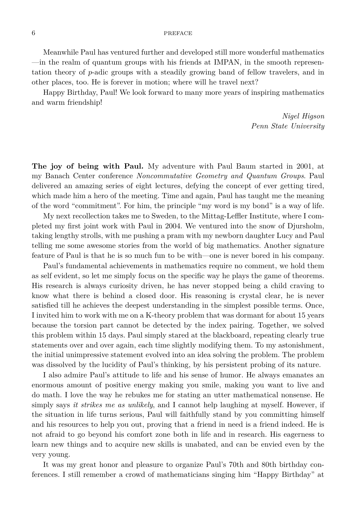## 6 PREFACE

Meanwhile Paul has ventured further and developed still more wonderful mathematics —in the realm of quantum groups with his friends at IMPAN, in the smooth representation theory of *p*-adic groups with a steadily growing band of fellow travelers, and in other places, too. He is forever in motion; where will he travel next?

Happy Birthday, Paul! We look forward to many more years of inspiring mathematics and warm friendship!

> *Nigel Higson Penn State University*

**The joy of being with Paul.** My adventure with Paul Baum started in 2001, at my Banach Center conference *Noncommutative Geometry and Quantum Groups*. Paul delivered an amazing series of eight lectures, defying the concept of ever getting tired, which made him a hero of the meeting. Time and again, Paul has taught me the meaning of the word "commitment". For him, the principle "my word is my bond" is a way of life.

My next recollection takes me to Sweden, to the Mittag-Leffler Institute, where I completed my first joint work with Paul in 2004. We ventured into the snow of Djursholm, taking lengthy strolls, with me pushing a pram with my newborn daughter Lucy and Paul telling me some awesome stories from the world of big mathematics. Another signature feature of Paul is that he is so much fun to be with—one is never bored in his company.

Paul's fundamental achievements in mathematics require no comment, we hold them as self evident, so let me simply focus on the specific way he plays the game of theorems. His research is always curiosity driven, he has never stopped being a child craving to know what there is behind a closed door. His reasoning is crystal clear, he is never satisfied till he achieves the deepest understanding in the simplest possible terms. Once, I invited him to work with me on a K-theory problem that was dormant for about 15 years because the torsion part cannot be detected by the index pairing. Together, we solved this problem within 15 days. Paul simply stared at the blackboard, repeating clearly true statements over and over again, each time slightly modifying them. To my astonishment, the initial unimpressive statement evolved into an idea solving the problem. The problem was dissolved by the lucidity of Paul's thinking, by his persistent probing of its nature.

I also admire Paul's attitude to life and his sense of humor. He always emanates an enormous amount of positive energy making you smile, making you want to live and do math. I love the way he rebukes me for stating an utter mathematical nonsense. He simply says *it strikes me as unlikely*, and I cannot help laughing at myself. However, if the situation in life turns serious, Paul will faithfully stand by you committing himself and his resources to help you out, proving that a friend in need is a friend indeed. He is not afraid to go beyond his comfort zone both in life and in research. His eagerness to learn new things and to acquire new skills is unabated, and can be envied even by the very young.

It was my great honor and pleasure to organize Paul's 70th and 80th birthday conferences. I still remember a crowd of mathematicians singing him "Happy Birthday" at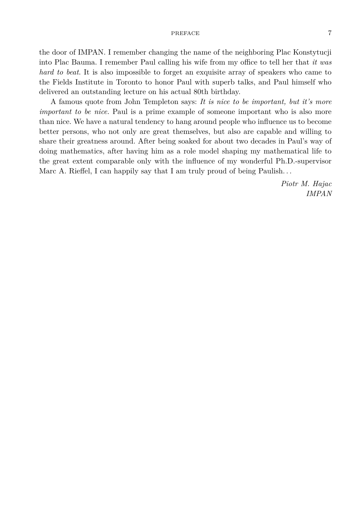## PREFACE 7

the door of IMPAN. I remember changing the name of the neighboring Plac Konstytucji into Plac Bauma. I remember Paul calling his wife from my office to tell her that *it was hard to beat*. It is also impossible to forget an exquisite array of speakers who came to the Fields Institute in Toronto to honor Paul with superb talks, and Paul himself who delivered an outstanding lecture on his actual 80th birthday.

A famous quote from John Templeton says: *It is nice to be important, but it's more important to be nice.* Paul is a prime example of someone important who is also more than nice. We have a natural tendency to hang around people who influence us to become better persons, who not only are great themselves, but also are capable and willing to share their greatness around. After being soaked for about two decades in Paul's way of doing mathematics, after having him as a role model shaping my mathematical life to the great extent comparable only with the influence of my wonderful Ph.D.-supervisor Marc A. Rieffel, I can happily say that I am truly proud of being Paulish. . .

> *Piotr M. Hajac IMPAN*